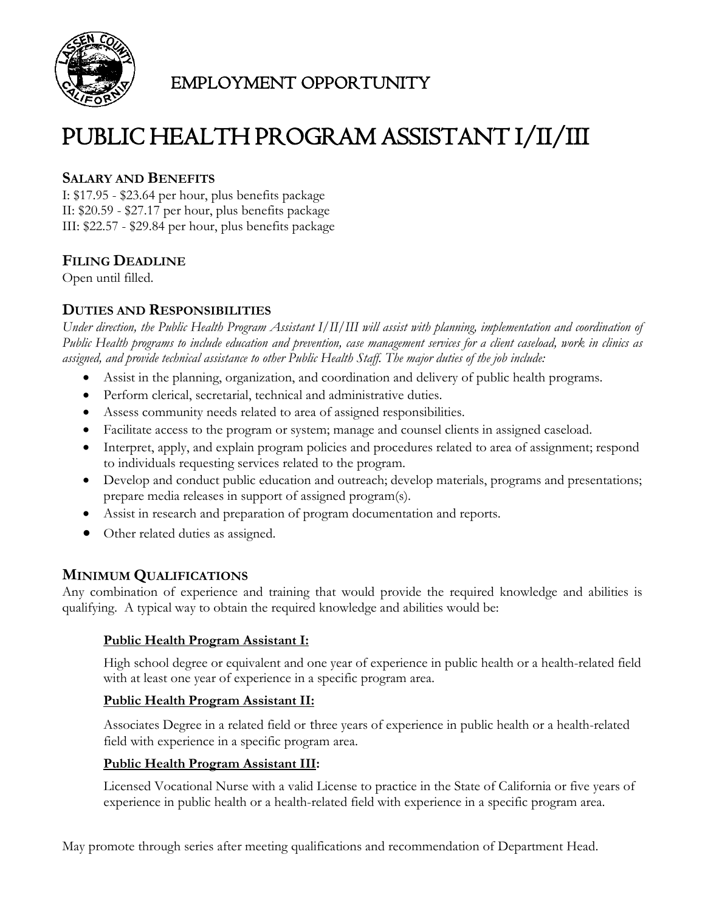

# EMPLOYMENT OPPORTUNITY

# PUBLIC HEALTH PROGRAM ASSISTANT I/II/III

# **SALARY AND BENEFITS**

I: \$17.95 - \$23.64 per hour, plus benefits package II: \$20.59 - \$27.17 per hour, plus benefits package III: \$22.57 - \$29.84 per hour, plus benefits package

# **FILING DEADLINE**

Open until filled.

# **DUTIES AND RESPONSIBILITIES**

*Under direction, the Public Health Program Assistant I/II/III will assist with planning, implementation and coordination of Public Health programs to include education and prevention, case management services for a client caseload, work in clinics as assigned, and provide technical assistance to other Public Health Staff. The major duties of the job include:*

- Assist in the planning, organization, and coordination and delivery of public health programs.
- Perform clerical, secretarial, technical and administrative duties.
- Assess community needs related to area of assigned responsibilities.
- Facilitate access to the program or system; manage and counsel clients in assigned caseload.
- Interpret, apply, and explain program policies and procedures related to area of assignment; respond to individuals requesting services related to the program.
- Develop and conduct public education and outreach; develop materials, programs and presentations; prepare media releases in support of assigned program(s).
- Assist in research and preparation of program documentation and reports.
- Other related duties as assigned.

# **MINIMUM QUALIFICATIONS**

Any combination of experience and training that would provide the required knowledge and abilities is qualifying. A typical way to obtain the required knowledge and abilities would be:

#### **Public Health Program Assistant I:**

High school degree or equivalent and one year of experience in public health or a health-related field with at least one year of experience in a specific program area.

#### **Public Health Program Assistant II:**

Associates Degree in a related field or three years of experience in public health or a health-related field with experience in a specific program area.

# **Public Health Program Assistant III:**

Licensed Vocational Nurse with a valid License to practice in the State of California or five years of experience in public health or a health-related field with experience in a specific program area.

May promote through series after meeting qualifications and recommendation of Department Head.